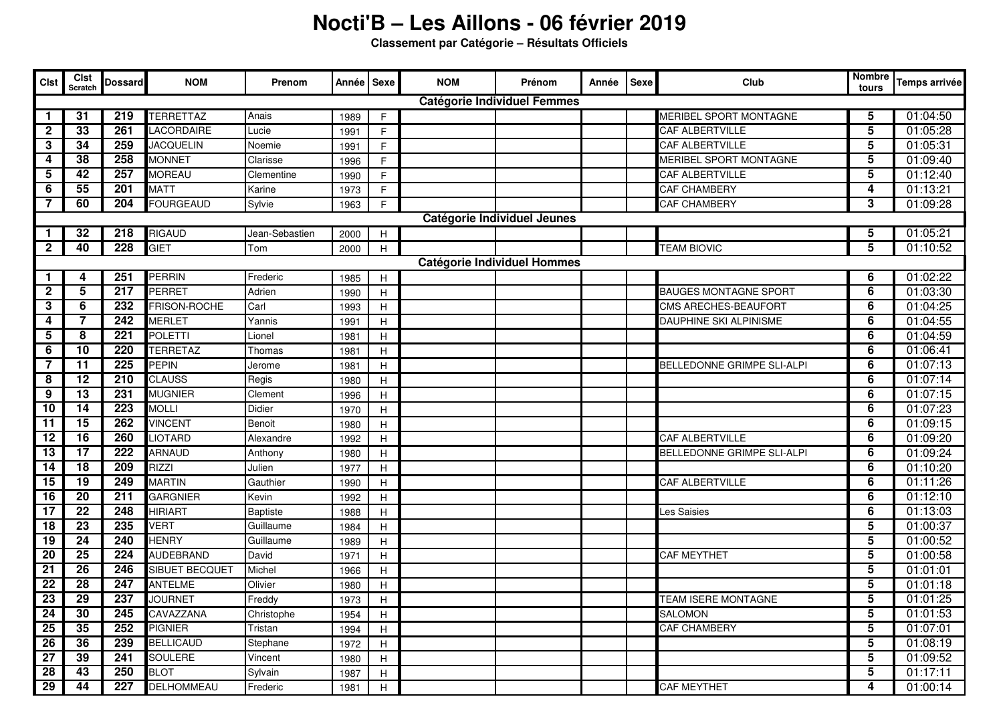## **Nocti'B – Les Aillons - 06 février 2019**

**Classement par Catégorie – Résultats Officiels**

| <b>Clst</b>                        | <b>Clst</b><br>Scratch | <b>Dossard</b>   | <b>NOM</b>            | Prenom         | Année Sexe |                           | <b>NOM</b> | Prénom | Année | Sexe | Club                              | <b>Nombre</b><br>tours  | Temps arrivée |
|------------------------------------|------------------------|------------------|-----------------------|----------------|------------|---------------------------|------------|--------|-------|------|-----------------------------------|-------------------------|---------------|
| <b>Catégorie Individuel Femmes</b> |                        |                  |                       |                |            |                           |            |        |       |      |                                   |                         |               |
| 1                                  | 31                     | 219              | TERRETTAZ             | Anais          | 1989       | F                         |            |        |       |      | MERIBEL SPORT MONTAGNE            | 5                       | 01:04:50      |
| $\mathbf{2}$                       | 33                     | 261              | LACORDAIRE            | Lucie          | 1991       | F.                        |            |        |       |      | <b>CAF ALBERTVILLE</b>            | $\overline{\mathbf{5}}$ | 01:05:28      |
| 3                                  | 34                     | 259              | <b>JACQUELIN</b>      | Noemie         | 1991       | F                         |            |        |       |      | <b>CAF ALBERTVILLE</b>            | 5                       | 01:05:31      |
| 4                                  | 38                     | 258              | <b>MONNET</b>         | Clarisse       | 1996       | F.                        |            |        |       |      | MERIBEL SPORT MONTAGNE            | 5                       | 01:09:40      |
| 5                                  | $\overline{42}$        | 257              | <b>MOREAU</b>         | Clementine     | 1990       | F.                        |            |        |       |      | CAF ALBERTVILLE                   | 5                       | 01:12:40      |
| 6                                  | 55                     | 201              | <b>MATT</b>           | Karine         | 1973       | F.                        |            |        |       |      | CAF CHAMBERY                      | 4                       | 01:13:21      |
| 7                                  | 60                     | 204              | <b>FOURGEAUD</b>      | Sylvie         | 1963       | F.                        |            |        |       |      | CAF CHAMBERY                      | 3                       | 01:09:28      |
| Catégorie Individuel Jeunes        |                        |                  |                       |                |            |                           |            |        |       |      |                                   |                         |               |
| 1                                  | 32                     | 218              | <b>RIGAUD</b>         | Jean-Sebastien | 2000       | H                         |            |        |       |      |                                   | 5                       | 01:05:21      |
| 2                                  | 40                     | 228              | <b>GIET</b>           | Tom            | 2000       | H                         |            |        |       |      | <b>TEAM BIOVIC</b>                | 5                       | 01:10:52      |
| <b>Catégorie Individuel Hommes</b> |                        |                  |                       |                |            |                           |            |        |       |      |                                   |                         |               |
| 1                                  | 4                      | 251              | <b>PERRIN</b>         | Frederic       | 1985       | H                         |            |        |       |      |                                   | 6                       | 01:02:22      |
| $\mathbf{2}$                       | 5                      | 217              | <b>PERRET</b>         | Adrien         | 1990       | H                         |            |        |       |      | <b>BAUGES MONTAGNE SPORT</b>      | 6                       | 01:03:30      |
| 3                                  | 6                      | 232              | FRISON-ROCHE          | Carl           | 1993       | H                         |            |        |       |      | CMS ARECHES-BEAUFORT              | 6                       | 01:04:25      |
| 4                                  | 7                      | $\overline{242}$ | MERLET                | Yannis         | 1991       | H                         |            |        |       |      | DAUPHINE SKI ALPINISME            | 6                       | 01:04:55      |
| 5                                  | 8                      | 221              | <b>POLETTI</b>        | Lionel         | 1981       | H                         |            |        |       |      |                                   | 6                       | 01:04:59      |
| 6                                  | 10                     | 220              | <b>TERRETAZ</b>       | Thomas         | 1981       | Н                         |            |        |       |      |                                   | 6                       | 01:06:41      |
| $\overline{7}$                     | $\overline{11}$        | 225              | <b>PEPIN</b>          | Jerome         | 1981       | H                         |            |        |       |      | <b>BELLEDONNE GRIMPE SLI-ALPI</b> | 6                       | 01:07:13      |
| 8                                  | $\overline{12}$        | 210              | <b>CLAUSS</b>         | Regis          | 1980       | H                         |            |        |       |      |                                   | 6                       | 01:07:14      |
| 9                                  | 13                     | 231              | <b>MUGNIER</b>        | Clement        | 1996       | H                         |            |        |       |      |                                   | 6                       | 01:07:15      |
| 10                                 | 14                     | 223              | <b>MOLLI</b>          | Didier         | 1970       | H                         |            |        |       |      |                                   | 6                       | 01:07:23      |
| 11                                 | 15                     | 262              | <b>VINCENT</b>        | Benoit         | 1980       | H                         |            |        |       |      |                                   | 6                       | 01:09:15      |
| 12                                 | 16                     | 260              | <b>LIOTARD</b>        | Alexandre      | 1992       | $\boldsymbol{\mathsf{H}}$ |            |        |       |      | CAF ALBERTVILLE                   | 6                       | 01:09:20      |
| 13                                 | $\overline{17}$        | $\overline{222}$ | <b>ARNAUD</b>         | Anthony        | 1980       | H                         |            |        |       |      | BELLEDONNE GRIMPE SLI-ALPI        | 6                       | 01:09:24      |
| 14                                 | 18                     | 209              | <b>RIZZI</b>          | Julien         | 1977       | H                         |            |        |       |      |                                   | 6                       | 01:10:20      |
| 15                                 | 19                     | 249              | <b>MARTIN</b>         | Gauthier       | 1990       | Н                         |            |        |       |      | CAF ALBERTVILLE                   | 6                       | 01:11:26      |
| 16                                 | 20                     | 211              | <b>GARGNIER</b>       | Kevin          | 1992       | Н                         |            |        |       |      |                                   | 6                       | 01:12:10      |
| 17                                 | $\overline{22}$        | 248              | <b>HIRIART</b>        | Baptiste       | 1988       | н                         |            |        |       |      | Les Saisies                       | 6                       | 01:13:03      |
| 18                                 | $\overline{23}$        | 235              | <b>VERT</b>           | Guillaume      | 1984       | н                         |            |        |       |      |                                   | 5                       | 01:00:37      |
| 19                                 | $\overline{24}$        | 240              | <b>HENRY</b>          | Guillaume      | 1989       | н                         |            |        |       |      |                                   | 5                       | 01:00:52      |
| 20                                 | $\overline{25}$        | $\overline{224}$ | <b>AUDEBRAND</b>      | David          | 1971       | H                         |            |        |       |      | <b>CAF MEYTHET</b>                | 5                       | 01:00:58      |
| 21                                 | $\overline{26}$        | 246              | <b>SIBUET BECQUET</b> | Michel         | 1966       | н                         |            |        |       |      |                                   | 5                       | 01:01:01      |
| 22                                 | 28                     | 247              | ANTELME               | Olivier        | 1980       | Н                         |            |        |       |      |                                   | 5                       | 01:01:18      |
| 23                                 | $\overline{29}$        | 237              | <b>JOURNET</b>        | Freddy         | 1973       | $\boldsymbol{\mathsf{H}}$ |            |        |       |      | TEAM ISERE MONTAGNE               | 5                       | 01:01:25      |
| 24                                 | 30                     | 245              | CAVAZZANA             | Christophe     | 1954       | H                         |            |        |       |      | <b>SALOMON</b>                    | 5                       | 01:01:53      |
| 25                                 | 35                     | 252              | <b>PIGNIER</b>        | Tristan        | 1994       | H                         |            |        |       |      | CAF CHAMBERY                      | 5                       | 01:07:01      |
| 26                                 | 36                     | 239              | <b>BELLICAUD</b>      | Stephane       | 1972       | H                         |            |        |       |      |                                   | 5                       | 01:08:19      |
| 27                                 | 39                     | 241              | SOULERE               | Vincent        | 1980       | H                         |            |        |       |      |                                   | 5                       | 01:09:52      |
| 28                                 | 43                     | 250              | <b>BLOT</b>           | Sylvain        | 1987       | H                         |            |        |       |      |                                   | 5                       | 01:17:11      |
| $\overline{29}$                    | 44                     | 227              | DELHOMMEAU            | Frederic       | 1981       | H                         |            |        |       |      | <b>CAF MEYTHET</b>                | 4                       | 01:00:14      |